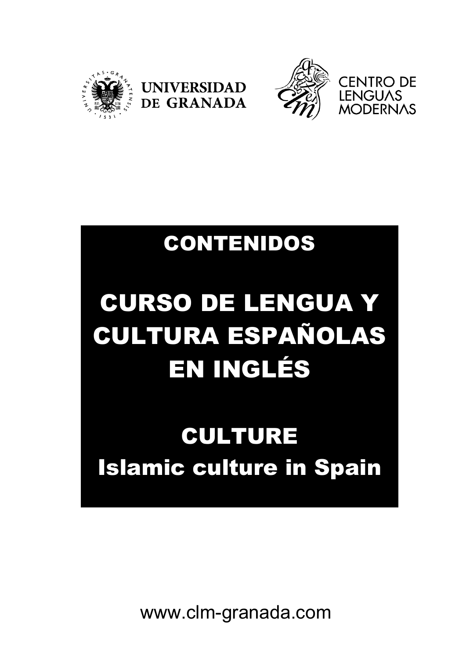





## CONTENIDOS

# CURSO DE LENGUA Y CULTURA ESPAÑOLAS EN INGLÉS

# CULTURE Islamic culture in Spain

www.clm-granada.com